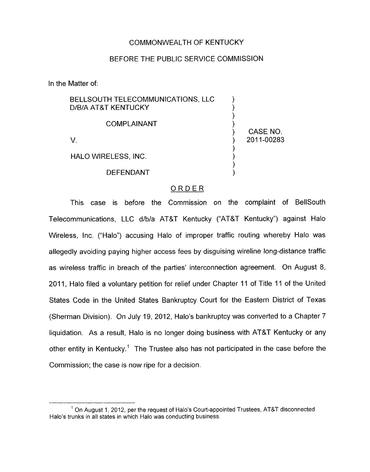#### COMMONWEALTH OF KENTUCKY

#### BEFORE THE PUBLIC SERVICE COMMISSION

In the Matter of:

| BELLSOUTH TELECOMMUNICATIONS, LLC |  |
|-----------------------------------|--|
| D/B/A AT&T KENTUCKY               |  |
|                                   |  |

#### **COMPLAINANT**

V. ) 2011-00283

HALO WIRELESS, INC. )

**DEFENDANT** 

### ORDER

CASE NO.

 $\sum_{i=1}^{n}$ 

 $\sum_{i=1}^n$ 

This case is before the Commission on the complaint of BellSouth Telecommunications, LLC d/b/a AT&T Kentucky ("AT&T Kentucky") against Halo Wireless, lnc. ("Halo") accusing Halo of improper traffic routing whereby Halo was allegedly avoiding paying higher access fees by disguising wireline long-distance traffic as wireless traffic in breach of the parties' interconnection agreement. On August 8, 2011, Halo filed a voluntary petition for relief under Chapter 11 of Title 11 of the United States Code in the United States Bankruptcy Court for the Eastern District of Texas (Sherman Division). On July 19, 2012, Halo's bankruptcy was converted to a Chapter 7 liquidation. As a result, Halo is no longer doing business with AT&T Kentucky or any other entity in Kentucky.' The Trustee also has not participated in the case before the Commission; the case is now ripe for a decision.

 $<sup>1</sup>$  On August 1, 2012, per the request of Halo's Court-appointed Trustees, AT&T disconnected</sup> Halo's trunks in all states in which Halo was conducting business.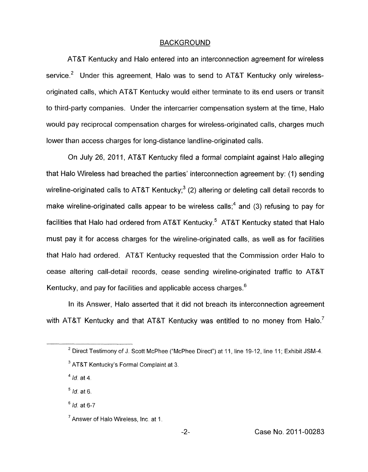#### BACKGROUND

AT&T Kentucky and Halo entered into an interconnection agreement for wireless service.<sup>2</sup> Under this agreement, Halo was to send to AT&T Kentucky only wirelessoriginated calls, which AT&T Kentucky would either terminate to its end users or transit to third-party companies. Under the intercarrier compensation system at the time, Halo would pay reciprocal compensation charges for wireless-originated calls, charges much lower than access charges for long-distance landline-originated calls.

On July 26, 2011, AT&T Kentucky filed a formal complaint against Halo alleging that Halo Wireless had breached the parties' interconnection agreement by: (1) sending wireline-originated calls to AT&T Kentucky; $3$  (2) altering or deleting call detail records to make wireline-originated calls appear to be wireless calls;<sup>4</sup> and (3) refusing to pay for facilities that Halo had ordered from AT&T Kentucky. $5$  AT&T Kentucky stated that Halo must pay it for access charges for the wireline-originated calls, as well as for facilities that Halo had ordered. AT&T Kentucky requested that the Commission order Halo to cease altering call-detail records, cease sending wireline-originated traffic to AT&T Kentucky, and pay for facilities and applicable access charges.<sup>6</sup>

In its Answer, Halo asserted that it did not breach its interconnection agreement with AT&T Kentucky and that AT&T Kentucky was entitled to no money from Halo.<sup>7</sup>

<sup>4</sup> *Id.* at 4.

*Id.* at *6.*  **5** 

*Id.* at *6-7* 

 $^2$  Direct Testimony of J. Scott McPhee ("McPhee Direct") at 11, line 19-12, line 11; Exhibit JSM-4.

AT&T Kentucky's Formal Complaint at 3. **3** 

 $^7$  Answer of Halo Wireless, Inc. at 1.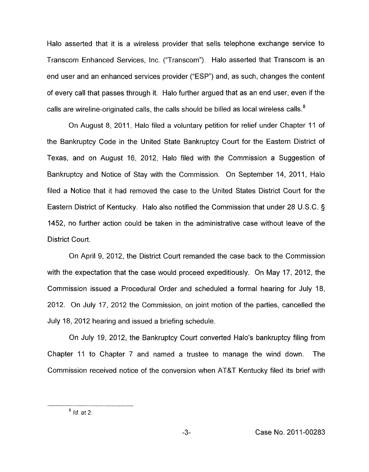Halo asserted that it is a wireless provider that sells telephone exchange service to Transcom Enhanced Services, lnc. ("Transcom"). Halo asserted that Transcom is an end user and an enhanced services provider ("ESP") and, as such, changes the content of every call that passes through it. Halo further argued that as an end user, even if the calls are wireline-originated calls, the calls should be billed as local wireless calls. $8$ 

On August 8, 2011, Halo filed a voluntary petition for relief under Chapter 11 of the Bankruptcy Code in the United State Bankruptcy Court for the Eastern District of Texas, and on August 16, 2012, Halo filed with the Commission a Suggestion of Bankruptcy and Notice of Stay with the Commission. On September 14, 2011, Halo filed a Notice that it had removed the case to the United States District Court for the Eastern District of Kentucky. Halo also notified the Commission that under 28 U.S.C. *5*  1452, no further action could be taken in the administrative case without leave of the District Court.

On April 9, 2012, the District Court remanded the case back to the Commission with the expectation that the case would proceed expeditiously. On May 17, 2012, the Commission issued a Procedural Order and scheduled a formal hearing for July 18, 2012. On July 17, 2012 the Commission, on joint motion of the parties, cancelled the July 18, 2012 hearing and issued a briefing schedule.

On July 19, 2012, the Bankruptcy Court converted Halo's bankruptcy filing from Chapter 11 to Chapter 7 and named a trustee to manage the wind down. The Commission received notice of the conversion when AT&T Kentucky filed its brief with

*Id.* at 2. **<sup>8</sup>**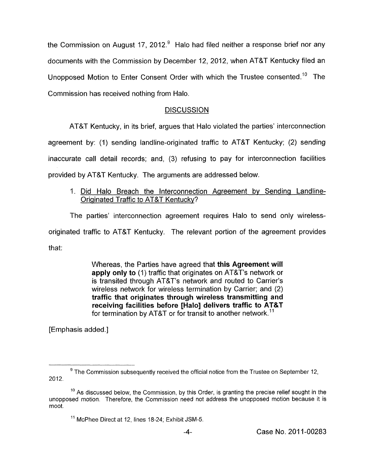the Commission on August 17, 2012.<sup>9</sup> Halo had filed neither a response brief nor any documents with the Commission by December 12, 2012, when AT&T Kentucky filed an Unopposed Motion to Enter Consent Order with which the Trustee consented." The Commission has received nothing from Halo.

## **DISCUSSION**

AT&T Kentucky, in its brief, argues that Halo violated the parties' interconnection

agreement by: (1) sending landline-originated traffic to AT&T Kentucky; (2) sending

inaccurate call detail records; and, (3) refusing to pay for interconnection facilities

provided by AT&T Kentucky. The arguments are addressed below.

I. Did Halo Breach the interconnection Agreement by Sending Landline-Originated Traffic to AT&T Kentucky?

The parties' interconnection agreement requires Halo to send only wirelessoriginated traffic to AT&T Kentucky. The relevant portion of the agreement provides

that:

Whereas, the Parties have agreed that **this Agreement will apply only to** (I) traffic that originates on AT&T's network or is transited through AT&T's network and routed to Carrier's wireless network for wireless termination by Carrier; and (2) **traffic that originates through wireless transmitting and receiving facilities before [Halo] delivers traffic to AT&T**  for termination by AT&T or for transit to another network.<sup>11</sup>

[Emphasis added.]

The Commission subsequently received the official notice from the Trustee on September 12, **<sup>9</sup>** 2012.

 $10$  As discussed below, the Commission, by this Order, is granting the precise relief sought in the unopposed motion. Therefore, the Commission need not address the unopposed motion because it is moot.

<sup>&</sup>lt;sup>11</sup> McPhee Direct at 12, lines 18-24; Exhibit JSM-5.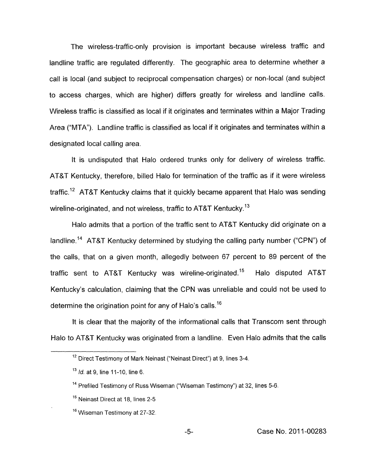The wireless-traffic-only provision is important because wireless traffic and landline traffic are regulated differently. The geographic area to determine whether a call is local (and subject to reciprocal compensation charges) or non-local (and subject to access charges, which are higher) differs greatly for wireless and landline calls. Wireless traffic is classified as local if it originates and terminates within a Major Trading Area ("MTA"). Landline traffic is classified as local if it originates and terminates within a designated local calling area.

It is undisputed that Halo ordered trunks only for delivery of wireless traffic. AT&T Kentucky, therefore, billed Halo for termination of the traffic as if it were wireless traffic.<sup>12</sup> AT&T Kentucky claims that it quickly became apparent that Halo was sending wireline-originated, and not wireless, traffic to AT&T Kentucky.<sup>13</sup>

Halo admits that a portion of the traffic sent to AT&T Kentucky did originate on a landline.<sup>14</sup> AT&T Kentucky determined by studying the calling party number ("CPN") of the calls, that on a given month, allegedly between 67 percent to 89 percent of the traffic sent to AT&T Kentucky was wireline-originated.<sup>15</sup> Halo disputed AT&T Kentucky's calculation, claiming that the CPN was unreliable and could not be used to determine the origination point for any *of* Halo's calls.16

it is clear that the majority of the informational calls that Transcom sent through Halo to AT&T Kentucky was originated from a landline. Even Halo admits that the calls

<sup>&</sup>lt;sup>12</sup> Direct Testimony of Mark Neinast ("Neinast Direct") at 9, lines 3-4.

*Id.* at 9, line 11-10, line 6. **13** 

<sup>&</sup>lt;sup>14</sup> Prefiled Testimony of Russ Wiseman ("Wiseman Testimony") at 32, lines 5-6.

<sup>&</sup>lt;sup>15</sup> Neinast Direct at 18, lines 2-5

Wiseman Testimony at 27-32. **16**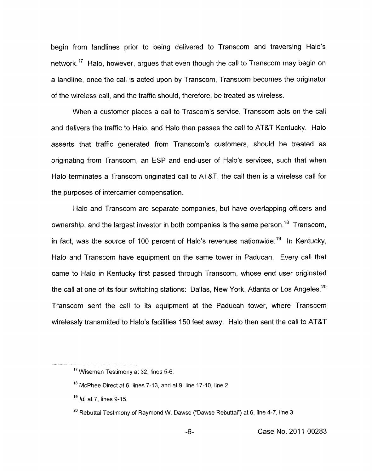begin from landlines prior to being delivered to Transcom and traversing Halo's network.<sup>17</sup> Halo, however, argues that even though the call to Transcom may begin on a landline, once the call is acted upon by Transcom, Transcom becomes the originator of the wireless call, and the traffic should, therefore, be treated as wireless.

When a customer places a call to Trascom's service, Transcom acts on the call and delivers the traffic to Halo, and Halo then passes the call to AT&T Kentucky. Halo asserts that traffic generated from Transcom's customers, should be treated as originating from Transcom, an ESP and end-user of Halo's services, such that when Halo terminates a Transcom originated call to AT&T, the call then is a wireless call for the purposes of intercarrier compensation.

Halo and Transcom are separate companies, but have overlapping officers and ownership, and the largest investor in both companies is the same person.<sup>18</sup> Transcom, in fact, was the source of 100 percent of Halo's revenues nationwide.<sup>19</sup> In Kentucky, Halo and Transcom have equipment on the same tower in Paducah. Every call that came to Halo in Kentucky first passed through Transcom, whose end user originated the call at one of its four switching stations: Dallas, New York, Atlanta or Los Angeles.<sup>20</sup> Transcom sent the call to its equipment at the Paducah tower, where Transcom wirelessly transmitted to Halo's facilities 150 feet away. Halo then sent the call to AT&T

<sup>&</sup>lt;sup>17</sup> Wiseman Testimony at 32, lines 5-6.

 $^{18}$  McPhee Direct at 6, lines 7-13, and at 9, line 17-10, line 2.

*Id.* at 7, lines 9-15. **19** 

<sup>&</sup>lt;sup>20</sup> Rebuttal Testimony of Raymond W. Dawse ("Dawse Rebuttal") at 6, line 4-7, line 3.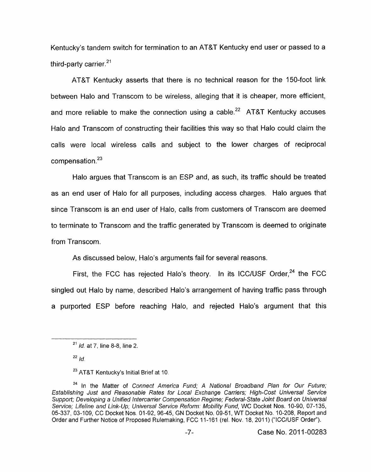Kentucky's tandem switch for termination to an AT&T Kentucky end user or passed to a third-party carrier. $21$ 

AT&T Kentucky asserts that there is no technical reason for the 150-foot link between Halo and Transcom to be wireless, alleging that it is cheaper, more efficient, and more reliable to make the connection using a cable.<sup>22</sup> AT&T Kentucky accuses Halo and Transcom of constructing their facilities this way so that Halo could claim the calls were local wireless calls and subject to the lower charges of reciprocal  $compensation.<sup>23</sup>$ 

Halo argues that Transcom is an ESP and, as such, its traffic should be treated as an end user of Halo for all purposes, including access charges. Halo argues that since Transcom is an end user of Halo, calls from customers of Transcom are deemed to terminate to Transcom and the traffic generated by Transcom is deemed to originate from Transcom.

As discussed below, Halo's arguments fail for several reasons.

First, the FCC has rejected Halo's theory. In its ICC/USF Order,<sup>24</sup> the FCC singled out Halo by name, described Halo's arrangement of having traffic pass through a purported ESP before reaching Halo, and rejected Halo's argument that this

<sup>&</sup>lt;sup>21</sup> /d. at 7, line 8-8, line 2.

 $22 \frac{1}{d}$ 

AT&T *Kentucky's Initial Brief at* 10. **<sup>23</sup>**

<sup>&</sup>lt;sup>24</sup> In the Matter of Connect America Fund; A National Broadband Plan for Our Future; *Establishing Just and Reasonable Rates for Local Exchange Carriers; High-Cost Universal Service Support; Developing a Unified Infercarrier Compensation Regime; Federal-State Joint Board on Universal*  Service; Lifeline and Link-Up; Universal Service Reform: Mobility Fund, WC Docket Nos. 10-90, 07-135, 05-337, 03-109, CC *Docket Nos.* 01-92, 96-45, *GN Docket No.* 09-51, WT *Docket No.* 10-208, *Report and Order and Further Notice of Proposed Rulemaking, FCC 11-161 (rel. Nov. 18, 2011) ("ICC/USF Order").*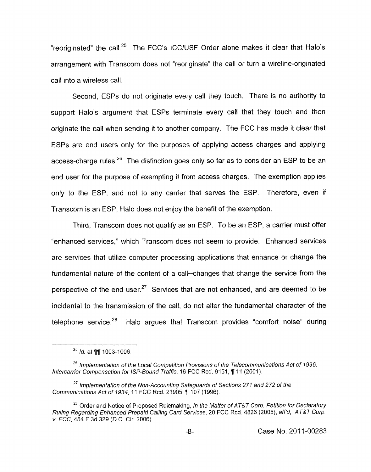"reoriginated" the call.<sup>25</sup> The FCC's ICC/USF Order alone makes it clear that Halo's arrangement with Transcom does not "reoriginate" the call or turn a wireline-originated call into a wireless call.

Second, ESPs do not originate every call they touch. There is no authority to support Halo's argument that ESPs terminate every call that they touch and then originate the call when sending it to another company. The FCC has made it clear that ESPs are end users only for the purposes of applying access charges and applying access-charge rules.<sup>26</sup> The distinction goes only so far as to consider an ESP to be an end user for the purpose of exempting it from access charges. The exemption applies only to the ESP, and not to any carrier that serves the ESP. Therefore, even if Transcom is an ESP, Halo does not enjoy the benefit of the exemption.

Third, Transcom does not qualify as an ESP. To be an ESP, a carrier must offer "enhanced services," which Transcom does not seem to provide. Enhanced services are services that utilize computer processing applications that enhance or change the fundamental nature of the content of a call-changes that change the service from the perspective of the end user.<sup>27</sup> Services that are not enhanced, and are deemed to be incidental to the transmission of the call, do not alter the fundamental character of the telephone service.<sup>28</sup> Halo argues that Transcom provides "comfort noise" during

<sup>&</sup>lt;sup>25</sup> *Id.* at **¶**¶ 1003-1006.

<sup>&</sup>lt;sup>26</sup> Implementation of the Local Competition Provisions of the Telecommunications Act of 1996, *lnfercarrier Compensation for ISP-Bound Traffic,* 16 FCC Rcd. 9151, 7 11 (2001).

<sup>&</sup>lt;sup>27</sup> Implementation of the Non-Accounting Safeguards of Sections 271 and 272 of the Communications Act of 1934, 11 FCC Rcd. 21905, ¶ 107 (1996).

<sup>&</sup>lt;sup>28</sup> Order and Notice of Proposed Rulemaking, *In the Matter of AT&T Corp. Petition for Declaratory Ruling Regarding Enhanced Prepaid Calling Card Services,* 20 FCC Rcd. 4826 (2005), *affd, AT&T Corp. v. FCC,* 454 F.3d 329 (D.C. Cir. 2006).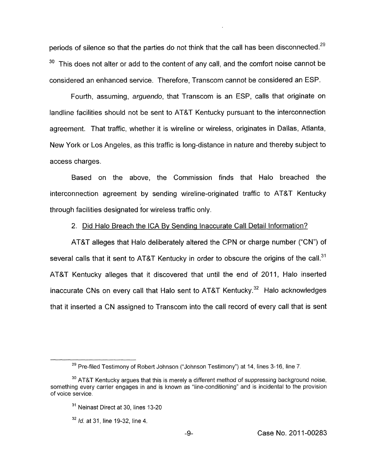periods of silence so that the parties do not think that the call has been disconnected.<sup>29</sup>  $30$  This does not alter or add to the content of any call, and the comfort noise cannot be considered an enhanced service. Therefore, Transcom cannot be considered an ESP.

Fourth, assuming, *arguendo,* that Transcom is an ESP, calls that originate on landline facilities should not be sent to AT&T Kentucky pursuant to the interconnection agreement. That traffic, whether it is wireline or wireless, originates in Dallas, Atlanta, New York or Los Angeles, as this traffic is long-distance in nature and thereby subject to access charges.

Based on the above, the Commission finds that Halo breached the interconnection agreement by sending wireline-originated traffic to AT&T Kentucky through facilities designated for wireless traffic only.

2. Did Halo Breach the ICA Bv Sending Inaccurate Call Detail Information?

AT&T alleges that Halo deliberately altered the CPN or charge number ("CN") of several calls that it sent to AT&T Kentucky in order to obscure the origins of the call.<sup>31</sup> AT&T Kentucky alleges that it discovered that until the end of 2011, Halo inserted inaccurate CNs on every call that Halo sent to AT&T Kentucky. $32$  Halo acknowledges that it inserted a CN assigned to Transcom into the call record of every call that is sent

 $29$  Pre-filed Testimony of Robert Johnson ("Johnson Testimony") at 14, lines 3-16, line 7.

AT&T Kentucky argues that this is merely a different method of suppressing background noise, **30**  something every carrier engages in and is known as "line-conditioning" and is incidental to the provision of voice service.

**<sup>31</sup>**Neinast Direct at 30, lines 13-20

*Id.* at 31, line 19-32, line 4. **<sup>32</sup>**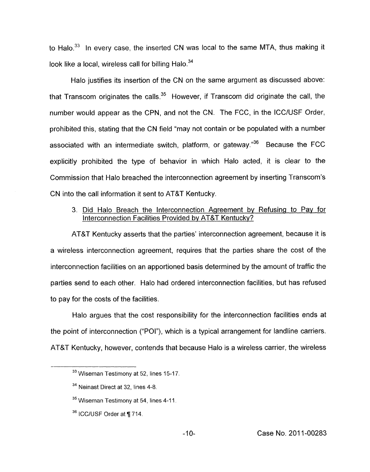to Halo.<sup>33</sup> In every case, the inserted CN was local to the same MTA, thus making it look like a local, wireless call for billing Halo. $34$ 

Halo justifies its insertion of the CN on the same argument as discussed above: that Transcom originates the calls. $35$  However, if Transcom did originate the call, the number would appear as the CPN, and not the CN. The FCC, in the ICC/USF Order, prohibited this, stating that the CN field "may not contain or be populated with a number associated with an intermediate switch, platform, or gateway." $36$  Because the FCC explicitly prohibited the type of behavior in which Halo acted, it is clear to the Commission that Halo breached the interconnection agreement by inserting Transcom's CN into the call information it sent to AT&T Kentucky.

# 3. Did Halo Breach the Interconnection Agreement bv Refusing to Pav for Interconnection Facilities Provided bv AT&T Kentuckv?

AT&T Kentucky asserts that the parties' interconnection agreement, because it is a wireless interconnection agreement, requires that the parties share the cost of the interconnection facilities on an apportioned basis determined by the amount of traffic the parties send to each other. Halo had ordered interconnection facilities, but has refused to pay for the costs of the facilities.

Halo argues that the cost responsibility for the interconnection facilities ends at the point of interconnection ("POI"), which is a typical arrangement for landline carriers. AT&T Kentucky, however, contends that because Halo is a wireless carrier, the wireless

<sup>&</sup>lt;sup>33</sup> Wiseman Testimony at 52, lines 15-17.

<sup>&</sup>lt;sup>34</sup> Neinast Direct at 32, lines 4-8.

<sup>&</sup>lt;sup>35</sup> Wiseman Testimony at 54, lines 4-11.

**<sup>36</sup>**ICCIUSF Order at fi 714.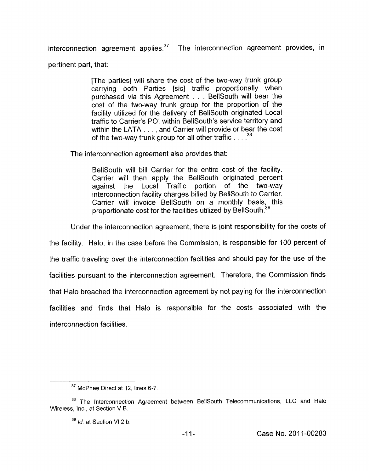interconnection agreement applies. $37$  The interconnection agreement provides, in

pertinent part, that:

[The parties] will share the cost of the two-way trunk group carrying both Parties [sic] traffic proportionally when purchased via this Agreement . . . BellSouth will bear the cost of the two-way trunk group for the proportion of the facility utilized for the delivery of BellSouth originated Local traffic to Carrier's POI within BellSouth's service territory and within the LATA . . . , and Carrier will provide or bear the cost of the two-way trunk group for all other traffic . . . . *<sup>38</sup>*

The interconnection agreement also provides that:

BellSouth will bill Carrier for the entire cost of the facility. Carrier will then apply the BellSouth originated percent against the Local Traffic portion of the two-way interconnection facility charges billed by BellSouth to Carrier. Carrier will invoice BellSouth on a monthly basis, this proportionate cost for the facilities utilized by BellSouth.<sup>31</sup>

Under the interconnection agreement, there is joint responsibility for the costs of

the facility. Halo, in the case before the Commission, is responsible for 100 percent of the traffic traveling over the interconnection facilities and should pay for the use of the facilities pursuant to the interconnection agreement. Therefore, the Commission finds that Halo breached the interconnection agreement by not paying for the interconnection facilities and finds that Halo is responsible for the costs associated with the interconnection facilities.

<sup>&</sup>lt;sup>37</sup> McPhee Direct at 12, lines 6-7.

The lntercannection Agreement between BellSouth Telecommunications, LLC and Halo **<sup>38</sup>** Wireless, Inc., at Section V.B.

*Id.* at. Section V1.2.b. **<sup>39</sup>**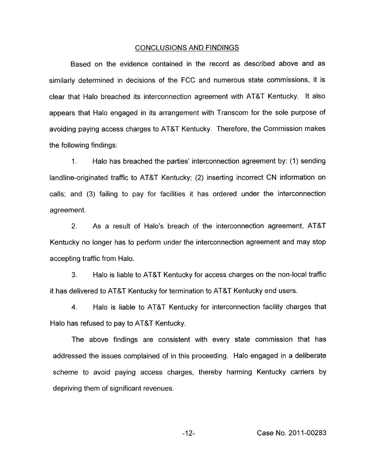#### CONCLUSIONS AND FINDINGS

Based on the evidence contained in the record as described above and as similarly determined in decisions of the FCC and numerous state commissions, it is clear that Halo breached its interconnection agreement with AT&T Kentucky. It also appears that Halo engaged in its arrangement with Transcom for the sole purpose of avoiding paying access charges to AT&T Kentucky. Therefore, the Commission makes the following findings:

1. Halo has breached the parties' interconnection agreement by: (1) sending landline-originated traffic to AT&T Kentucky; (2) inserting incorrect CN information on calls; and (3) failing to pay for facilities it has ordered under the interconnection agreement.

2. As a result of Halo's breach of the interconnection agreement, AT&T Kentucky no longer has to perform under the interconnection agreement and may stop accepting traffic from Halo.

**3.** Halo is liable to AT&T Kentucky for access charges on the non-local traffic it has delivered to AT&T Kentucky for termination to AT&T Kentucky end users.

**4.** Halo is liable to AT&T Kentucky for interconnection facility charges that Halo has refused to pay to AT&T Kentucky.

The above findings are consistent with every state commission that has addressed the issues complained of in this proceeding. Halo engaged in a deliberate scheme to avoid paying access charges, thereby harming Kentucky carriers by depriving them of significant revenues.

-1 *2-* Case No. 201 1-00283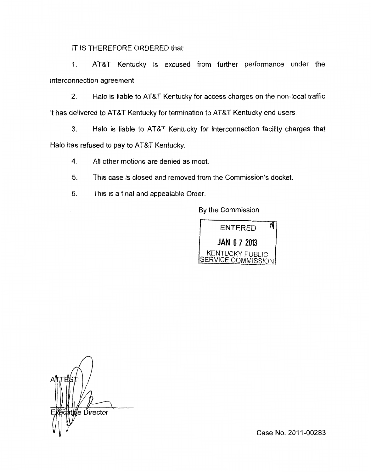IT IS THEREFORE ORDERED that:

1. AT&T Kentucky is excused from further performance under the interconnection agreement.

2. Halo is liable to AT&T Kentucky for access charges on the non-local traffic it has delivered to AT&T Kentucky for termination to AT&T Kentucky end users.

**3.** Halo is liable to AT&T Kentucky for interconnection facility charges that Halo has refused to pay to AT&T Kentucky.

**4.** All other motions are denied as moot.

5. This case is closed and removed from the Commission's docket.

**6.** This is a final and appealable Order.

By the Commission



*A*  ∤e Ďirector

Case No. 2011-00283